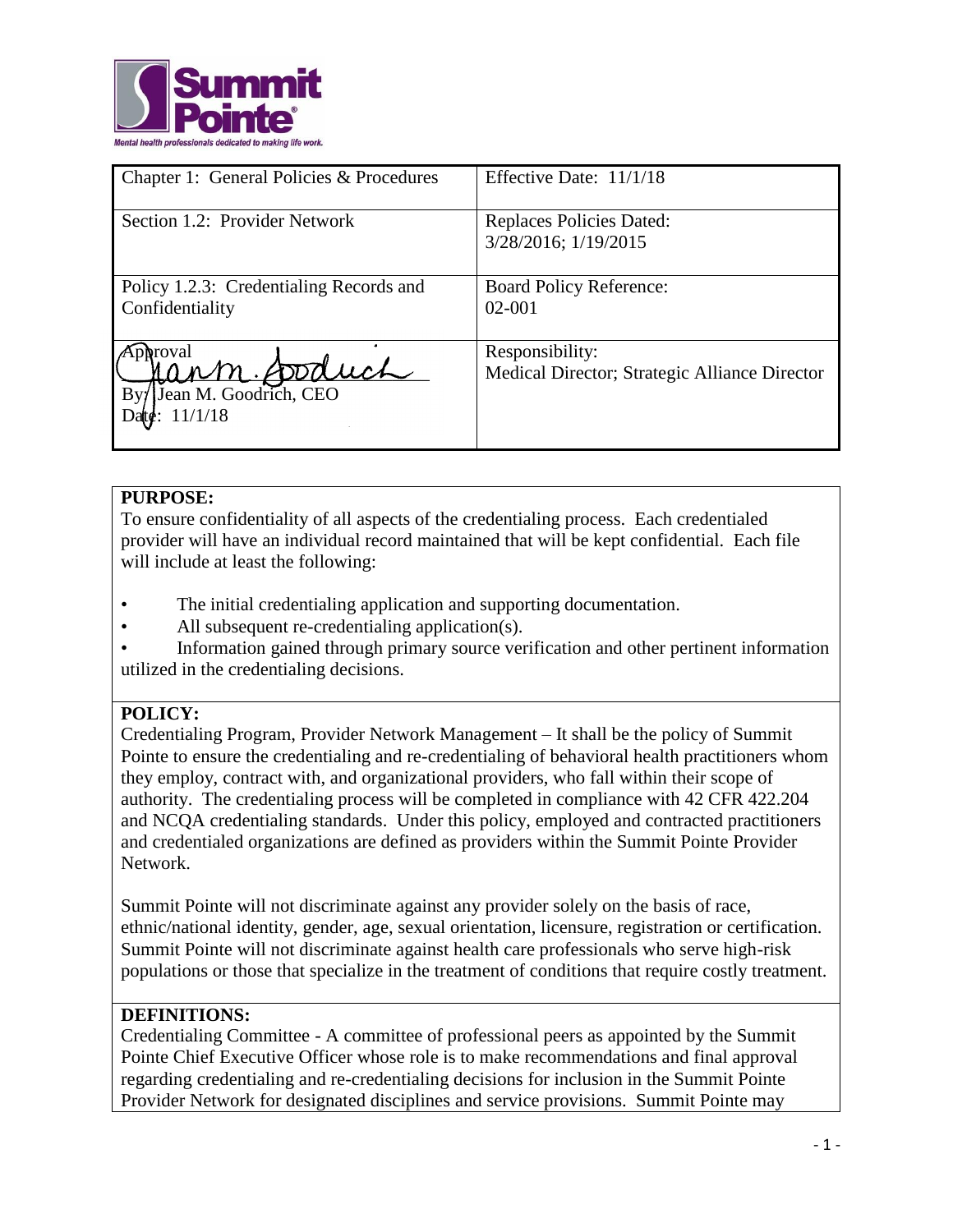

| Chapter 1: General Policies & Procedures                              | Effective Date: $11/1/18$                                        |
|-----------------------------------------------------------------------|------------------------------------------------------------------|
| Section 1.2: Provider Network                                         | Replaces Policies Dated:<br>3/28/2016; 1/19/2015                 |
| Policy 1.2.3: Credentialing Records and<br>Confidentiality            | <b>Board Policy Reference:</b><br>02-001                         |
| proval<br><u>nm. Soduch</u><br>Jean M. Goodrich, CEO<br>By<br>11/1/18 | Responsibility:<br>Medical Director; Strategic Alliance Director |

### **PURPOSE:**

To ensure confidentiality of all aspects of the credentialing process. Each credentialed provider will have an individual record maintained that will be kept confidential. Each file will include at least the following:

- The initial credentialing application and supporting documentation.
- All subsequent re-credentialing application(s).
- Information gained through primary source verification and other pertinent information utilized in the credentialing decisions.

### **POLICY:**

Credentialing Program, Provider Network Management – It shall be the policy of Summit Pointe to ensure the credentialing and re-credentialing of behavioral health practitioners whom they employ, contract with, and organizational providers, who fall within their scope of authority. The credentialing process will be completed in compliance with 42 CFR 422.204 and NCQA credentialing standards. Under this policy, employed and contracted practitioners and credentialed organizations are defined as providers within the Summit Pointe Provider Network.

Summit Pointe will not discriminate against any provider solely on the basis of race, ethnic/national identity, gender, age, sexual orientation, licensure, registration or certification. Summit Pointe will not discriminate against health care professionals who serve high-risk populations or those that specialize in the treatment of conditions that require costly treatment.

#### **DEFINITIONS:**

Credentialing Committee - A committee of professional peers as appointed by the Summit Pointe Chief Executive Officer whose role is to make recommendations and final approval regarding credentialing and re-credentialing decisions for inclusion in the Summit Pointe Provider Network for designated disciplines and service provisions. Summit Pointe may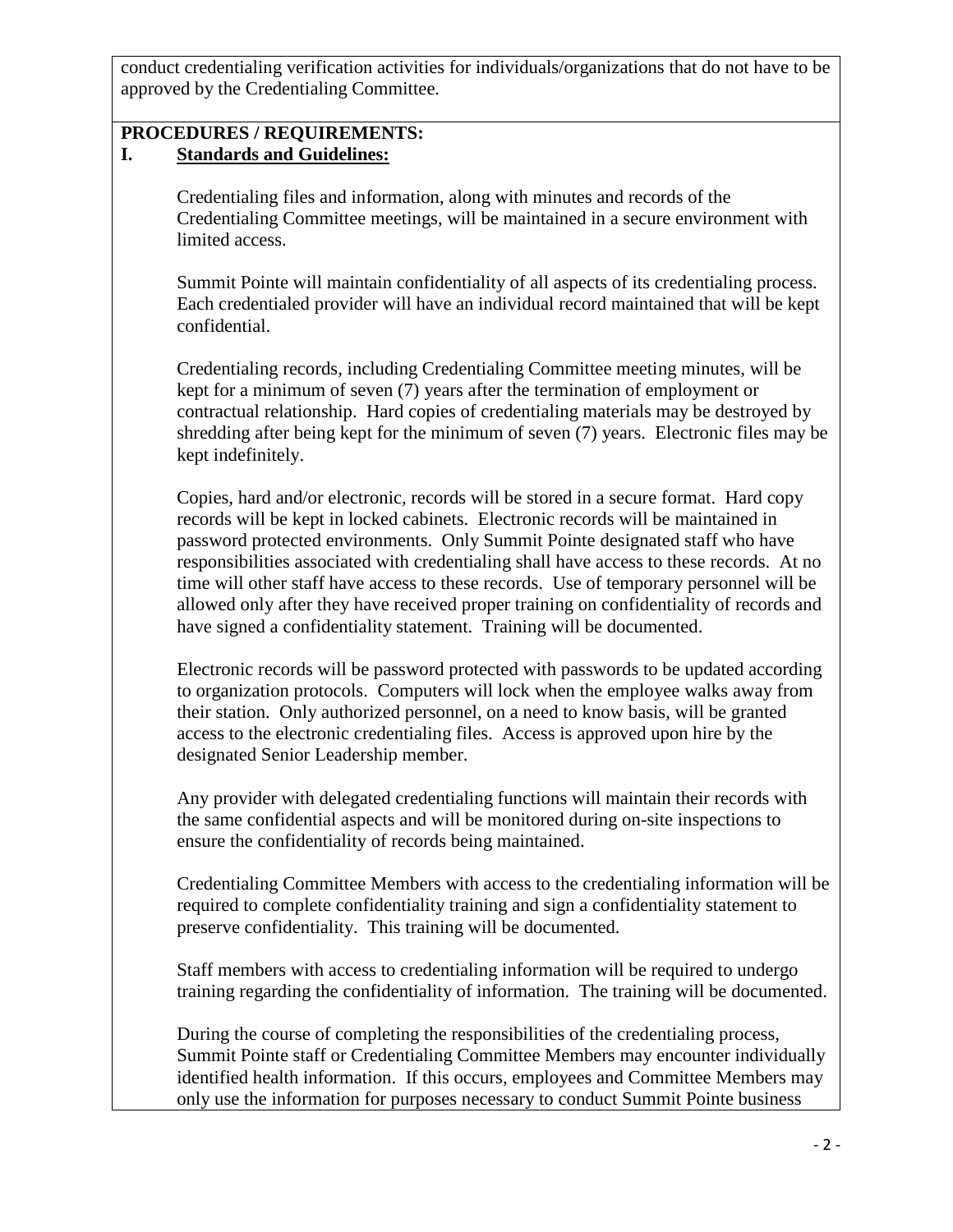conduct credentialing verification activities for individuals/organizations that do not have to be approved by the Credentialing Committee.

## **PROCEDURES / REQUIREMENTS: I. Standards and Guidelines:**

Credentialing files and information, along with minutes and records of the Credentialing Committee meetings, will be maintained in a secure environment with limited access.

Summit Pointe will maintain confidentiality of all aspects of its credentialing process. Each credentialed provider will have an individual record maintained that will be kept confidential.

Credentialing records, including Credentialing Committee meeting minutes, will be kept for a minimum of seven (7) years after the termination of employment or contractual relationship. Hard copies of credentialing materials may be destroyed by shredding after being kept for the minimum of seven (7) years. Electronic files may be kept indefinitely.

Copies, hard and/or electronic, records will be stored in a secure format. Hard copy records will be kept in locked cabinets. Electronic records will be maintained in password protected environments. Only Summit Pointe designated staff who have responsibilities associated with credentialing shall have access to these records. At no time will other staff have access to these records. Use of temporary personnel will be allowed only after they have received proper training on confidentiality of records and have signed a confidentiality statement. Training will be documented.

Electronic records will be password protected with passwords to be updated according to organization protocols. Computers will lock when the employee walks away from their station. Only authorized personnel, on a need to know basis, will be granted access to the electronic credentialing files. Access is approved upon hire by the designated Senior Leadership member.

Any provider with delegated credentialing functions will maintain their records with the same confidential aspects and will be monitored during on-site inspections to ensure the confidentiality of records being maintained.

Credentialing Committee Members with access to the credentialing information will be required to complete confidentiality training and sign a confidentiality statement to preserve confidentiality. This training will be documented.

Staff members with access to credentialing information will be required to undergo training regarding the confidentiality of information. The training will be documented.

During the course of completing the responsibilities of the credentialing process, Summit Pointe staff or Credentialing Committee Members may encounter individually identified health information. If this occurs, employees and Committee Members may only use the information for purposes necessary to conduct Summit Pointe business